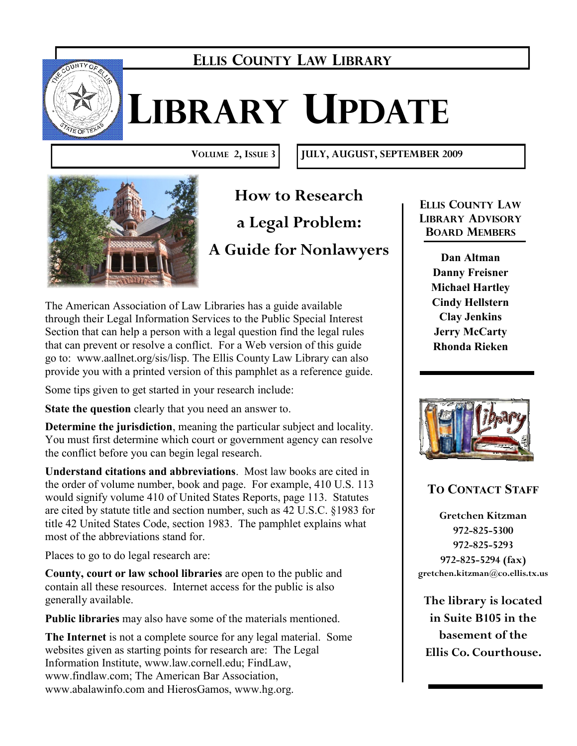

## **ELLIS COUNTY LAW LIBRARY**

# **LIBRARY UPDATE**

**VOLUME 2, ISSUE 3 JULY, AUGUST, SEPTEMBER 2009**



**How to Research a Legal Problem: A Guide for Nonlawyers** 

The American Association of Law Libraries has a guide available through their Legal Information Services to the Public Special Interest Section that can help a person with a legal question find the legal rules that can prevent or resolve a conflict. For a Web version of this guide go to: www.aallnet.org/sis/lisp. The Ellis County Law Library can also provide you with a printed version of this pamphlet as a reference guide.

Some tips given to get started in your research include:

**State the question** clearly that you need an answer to.

**Determine the jurisdiction**, meaning the particular subject and locality. You must first determine which court or government agency can resolve the conflict before you can begin legal research.

**Understand citations and abbreviations**. Most law books are cited in the order of volume number, book and page. For example, 410 U.S. 113 would signify volume 410 of United States Reports, page 113. Statutes are cited by statute title and section number, such as 42 U.S.C. §1983 for title 42 United States Code, section 1983. The pamphlet explains what most of the abbreviations stand for.

Places to go to do legal research are:

**County, court or law school libraries** are open to the public and contain all these resources. Internet access for the public is also generally available.

**Public libraries** may also have some of the materials mentioned.

**The Internet** is not a complete source for any legal material. Some websites given as starting points for research are: The Legal Information Institute, www.law.cornell.edu; FindLaw, www.findlaw.com; The American Bar Association, www.abalawinfo.com and HierosGamos, www.hg.org.

**ELLIS COUNTY LAW LIBRARY ADVISORY BOARD MEMBERS**

> **Dan Altman Danny Freisner Michael Hartley Cindy Hellstern Clay Jenkins Jerry McCarty Rhonda Rieken**



### **TO CONTACT STAFF**

**Gretchen Kitzman 972-825-5300 972-825-5293 972-825-5294 (fax) gretchen.kitzman@co.ellis.tx.us**

**The library is located in Suite B105 in the basement of the Ellis Co. Courthouse.**